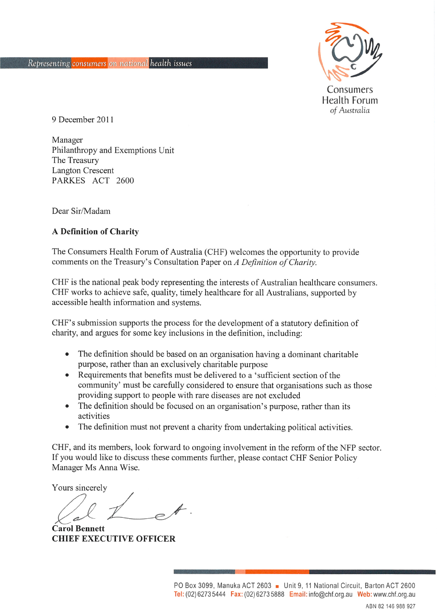

9 December 2011

Manager Philanthropy and Exemptions Unit The Treasury **Langton Crescent** PARKES ACT 2600

Dear Sir/Madam

#### A Definition of Charity

The Consumers Health Forum of Australia (CHF) welcomes the opportunity to provide comments on the Treasury's Consultation Paper on A Definition of Charity.

CHF is the national peak body representing the interests of Australian healthcare consumers. CHF works to achieve safe, quality, timely healthcare for all Australians, supported by accessible health information and systems.

CHF's submission supports the process for the development of a statutory definition of charity, and argues for some key inclusions in the definition, including:

- The definition should be based on an organisation having a dominant charitable purpose, rather than an exclusively charitable purpose
- Requirements that benefits must be delivered to a 'sufficient section of the community' must be carefully considered to ensure that organisations such as those providing support to people with rare diseases are not excluded
- The definition should be focused on an organisation's purpose, rather than its activities
- The definition must not prevent a charity from undertaking political activities.

CHF, and its members, look forward to ongoing involvement in the reform of the NFP sector. If you would like to discuss these comments further, please contact CHF Senior Policy Manager Ms Anna Wise.

Yours sincerely

**Carol Bennett CHIEF EXECUTIVE OFFICER**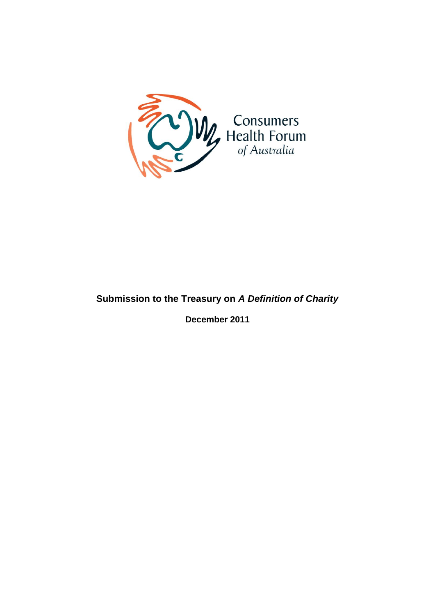

# **Submission to the Treasury on** *A Definition of Charity*

**December 2011**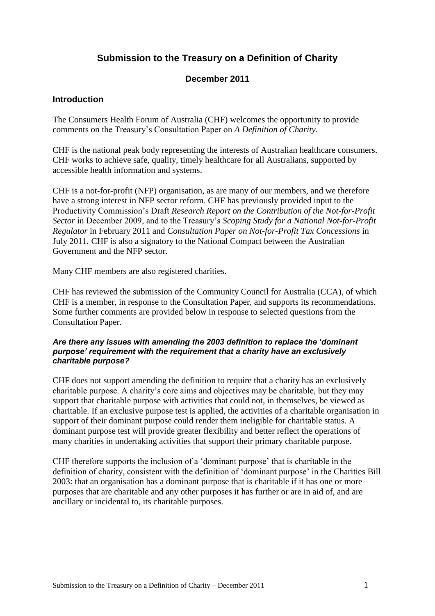## **Submission to the Treasury on a Definition of Charity**

## **December 2011**

## **Introduction**

The Consumers Health Forum of Australia (CHF) welcomes the opportunity to provide comments on the Treasury's Consultation Paper on *A Definition of Charity*.

CHF is the national peak body representing the interests of Australian healthcare consumers. CHF works to achieve safe, quality, timely healthcare for all Australians, supported by accessible health information and systems.

CHF is a not-for-profit (NFP) organisation, as are many of our members, and we therefore have a strong interest in NFP sector reform. CHF has previously provided input to the Productivity Commission's Draft *Research Report on the Contribution of the Not-for-Profit Sector* in December 2009, and to the Treasury's *Scoping Study for a National Not-for-Profit Regulator* in February 2011 and *Consultation Paper on Not-for-Profit Tax Concessions* in July 2011*.* CHF is also a signatory to the National Compact between the Australian Government and the NFP sector.

Many CHF members are also registered charities.

CHF has reviewed the submission of the Community Council for Australia (CCA), of which CHF is a member, in response to the Consultation Paper, and supports its recommendations. Some further comments are provided below in response to selected questions from the Consultation Paper.

#### *Are there any issues with amending the 2003 definition to replace the 'dominant purpose' requirement with the requirement that a charity have an exclusively charitable purpose?*

CHF does not support amending the definition to require that a charity has an exclusively charitable purpose. A charity's core aims and objectives may be charitable, but they may support that charitable purpose with activities that could not, in themselves, be viewed as charitable. If an exclusive purpose test is applied, the activities of a charitable organisation in support of their dominant purpose could render them ineligible for charitable status. A dominant purpose test will provide greater flexibility and better reflect the operations of many charities in undertaking activities that support their primary charitable purpose.

CHF therefore supports the inclusion of a 'dominant purpose' that is charitable in the definition of charity, consistent with the definition of 'dominant purpose' in the Charities Bill 2003: that an organisation has a dominant purpose that is charitable if it has one or more purposes that are charitable and any other purposes it has further or are in aid of, and are ancillary or incidental to, its charitable purposes.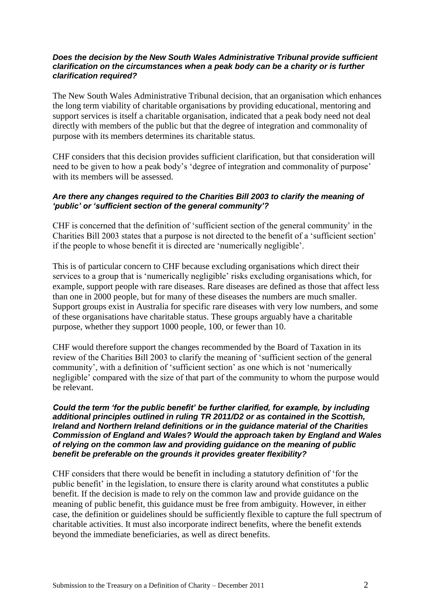#### *Does the decision by the New South Wales Administrative Tribunal provide sufficient clarification on the circumstances when a peak body can be a charity or is further clarification required?*

The New South Wales Administrative Tribunal decision, that an organisation which enhances the long term viability of charitable organisations by providing educational, mentoring and support services is itself a charitable organisation, indicated that a peak body need not deal directly with members of the public but that the degree of integration and commonality of purpose with its members determines its charitable status.

CHF considers that this decision provides sufficient clarification, but that consideration will need to be given to how a peak body's 'degree of integration and commonality of purpose' with its members will be assessed.

## *Are there any changes required to the Charities Bill 2003 to clarify the meaning of 'public' or 'sufficient section of the general community'?*

CHF is concerned that the definition of 'sufficient section of the general community' in the Charities Bill 2003 states that a purpose is not directed to the benefit of a 'sufficient section' if the people to whose benefit it is directed are 'numerically negligible'.

This is of particular concern to CHF because excluding organisations which direct their services to a group that is 'numerically negligible' risks excluding organisations which, for example, support people with rare diseases. Rare diseases are defined as those that affect less than one in 2000 people, but for many of these diseases the numbers are much smaller. Support groups exist in Australia for specific rare diseases with very low numbers, and some of these organisations have charitable status. These groups arguably have a charitable purpose, whether they support 1000 people, 100, or fewer than 10.

CHF would therefore support the changes recommended by the Board of Taxation in its review of the Charities Bill 2003 to clarify the meaning of 'sufficient section of the general community', with a definition of 'sufficient section' as one which is not 'numerically negligible' compared with the size of that part of the community to whom the purpose would be relevant.

#### *Could the term 'for the public benefit' be further clarified, for example, by including additional principles outlined in ruling TR 2011/D2 or as contained in the Scottish, Ireland and Northern Ireland definitions or in the guidance material of the Charities Commission of England and Wales? Would the approach taken by England and Wales of relying on the common law and providing guidance on the meaning of public benefit be preferable on the grounds it provides greater flexibility?*

CHF considers that there would be benefit in including a statutory definition of 'for the public benefit' in the legislation, to ensure there is clarity around what constitutes a public benefit. If the decision is made to rely on the common law and provide guidance on the meaning of public benefit, this guidance must be free from ambiguity. However, in either case, the definition or guidelines should be sufficiently flexible to capture the full spectrum of charitable activities. It must also incorporate indirect benefits, where the benefit extends beyond the immediate beneficiaries, as well as direct benefits.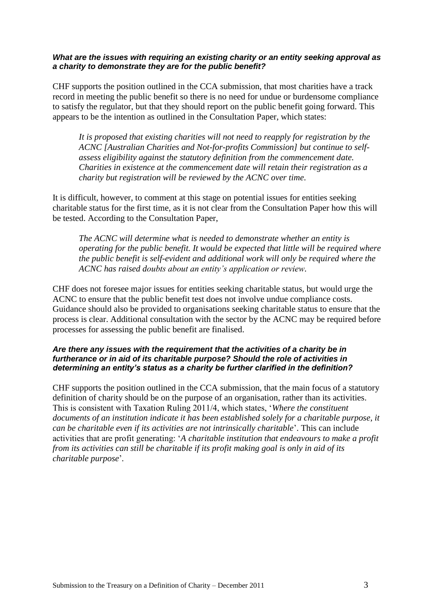#### *What are the issues with requiring an existing charity or an entity seeking approval as a charity to demonstrate they are for the public benefit?*

CHF supports the position outlined in the CCA submission, that most charities have a track record in meeting the public benefit so there is no need for undue or burdensome compliance to satisfy the regulator, but that they should report on the public benefit going forward. This appears to be the intention as outlined in the Consultation Paper, which states:

*It is proposed that existing charities will not need to reapply for registration by the ACNC [Australian Charities and Not-for-profits Commission] but continue to selfassess eligibility against the statutory definition from the commencement date. Charities in existence at the commencement date will retain their registration as a charity but registration will be reviewed by the ACNC over time*.

It is difficult, however, to comment at this stage on potential issues for entities seeking charitable status for the first time, as it is not clear from the Consultation Paper how this will be tested. According to the Consultation Paper,

*The ACNC will determine what is needed to demonstrate whether an entity is operating for the public benefit. It would be expected that little will be required where the public benefit is self-evident and additional work will only be required where the ACNC has raised doubts about an entity's application or review.*

CHF does not foresee major issues for entities seeking charitable status, but would urge the ACNC to ensure that the public benefit test does not involve undue compliance costs. Guidance should also be provided to organisations seeking charitable status to ensure that the process is clear. Additional consultation with the sector by the ACNC may be required before processes for assessing the public benefit are finalised.

#### *Are there any issues with the requirement that the activities of a charity be in furtherance or in aid of its charitable purpose? Should the role of activities in determining an entity's status as a charity be further clarified in the definition?*

CHF supports the position outlined in the CCA submission, that the main focus of a statutory definition of charity should be on the purpose of an organisation, rather than its activities. This is consistent with Taxation Ruling 2011/4, which states, '*Where the constituent documents of an institution indicate it has been established solely for a charitable purpose, it can be charitable even if its activities are not intrinsically charitable*'. This can include activities that are profit generating: '*A charitable institution that endeavours to make a profit from its activities can still be charitable if its profit making goal is only in aid of its charitable purpose*'*.*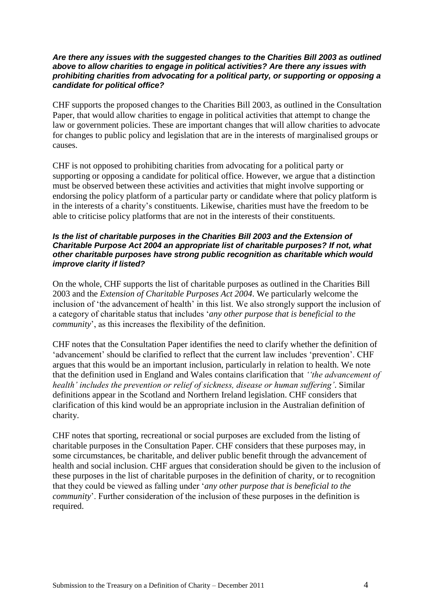#### *Are there any issues with the suggested changes to the Charities Bill 2003 as outlined above to allow charities to engage in political activities? Are there any issues with prohibiting charities from advocating for a political party, or supporting or opposing a candidate for political office?*

CHF supports the proposed changes to the Charities Bill 2003, as outlined in the Consultation Paper, that would allow charities to engage in political activities that attempt to change the law or government policies. These are important changes that will allow charities to advocate for changes to public policy and legislation that are in the interests of marginalised groups or causes.

CHF is not opposed to prohibiting charities from advocating for a political party or supporting or opposing a candidate for political office. However, we argue that a distinction must be observed between these activities and activities that might involve supporting or endorsing the policy platform of a particular party or candidate where that policy platform is in the interests of a charity's constituents. Likewise, charities must have the freedom to be able to criticise policy platforms that are not in the interests of their constituents.

#### *Is the list of charitable purposes in the Charities Bill 2003 and the Extension of Charitable Purpose Act 2004 an appropriate list of charitable purposes? If not, what other charitable purposes have strong public recognition as charitable which would improve clarity if listed?*

On the whole, CHF supports the list of charitable purposes as outlined in the Charities Bill 2003 and the *Extension of Charitable Purposes Act 2004*. We particularly welcome the inclusion of 'the advancement of health' in this list. We also strongly support the inclusion of a category of charitable status that includes '*any other purpose that is beneficial to the community*', as this increases the flexibility of the definition.

CHF notes that the Consultation Paper identifies the need to clarify whether the definition of 'advancement' should be clarified to reflect that the current law includes 'prevention'. CHF argues that this would be an important inclusion, particularly in relation to health. We note that the definition used in England and Wales contains clarification that *''the advancement of health' includes the prevention or relief of sickness, disease or human suffering'*. Similar definitions appear in the Scotland and Northern Ireland legislation. CHF considers that clarification of this kind would be an appropriate inclusion in the Australian definition of charity.

CHF notes that sporting, recreational or social purposes are excluded from the listing of charitable purposes in the Consultation Paper. CHF considers that these purposes may, in some circumstances, be charitable, and deliver public benefit through the advancement of health and social inclusion. CHF argues that consideration should be given to the inclusion of these purposes in the list of charitable purposes in the definition of charity, or to recognition that they could be viewed as falling under '*any other purpose that is beneficial to the community*'. Further consideration of the inclusion of these purposes in the definition is required.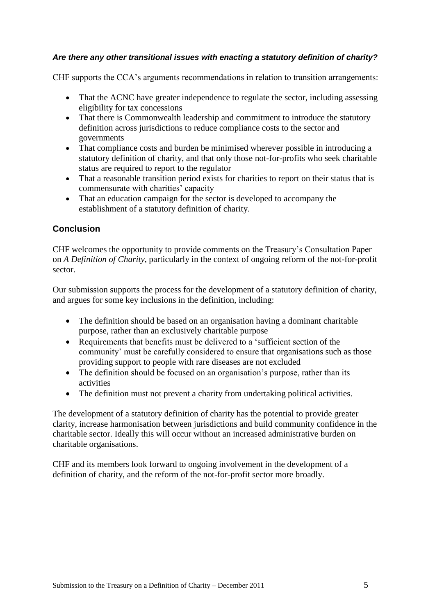## *Are there any other transitional issues with enacting a statutory definition of charity?*

CHF supports the CCA's arguments recommendations in relation to transition arrangements:

- That the ACNC have greater independence to regulate the sector, including assessing eligibility for tax concessions
- That there is Commonwealth leadership and commitment to introduce the statutory definition across jurisdictions to reduce compliance costs to the sector and governments
- That compliance costs and burden be minimised wherever possible in introducing a statutory definition of charity, and that only those not-for-profits who seek charitable status are required to report to the regulator
- That a reasonable transition period exists for charities to report on their status that is commensurate with charities' capacity
- That an education campaign for the sector is developed to accompany the establishment of a statutory definition of charity.

## **Conclusion**

CHF welcomes the opportunity to provide comments on the Treasury's Consultation Paper on *A Definition of Charity*, particularly in the context of ongoing reform of the not-for-profit sector.

Our submission supports the process for the development of a statutory definition of charity, and argues for some key inclusions in the definition, including:

- The definition should be based on an organisation having a dominant charitable purpose, rather than an exclusively charitable purpose
- Requirements that benefits must be delivered to a 'sufficient section of the community' must be carefully considered to ensure that organisations such as those providing support to people with rare diseases are not excluded
- The definition should be focused on an organisation's purpose, rather than its activities
- The definition must not prevent a charity from undertaking political activities.

The development of a statutory definition of charity has the potential to provide greater clarity, increase harmonisation between jurisdictions and build community confidence in the charitable sector. Ideally this will occur without an increased administrative burden on charitable organisations.

CHF and its members look forward to ongoing involvement in the development of a definition of charity, and the reform of the not-for-profit sector more broadly.